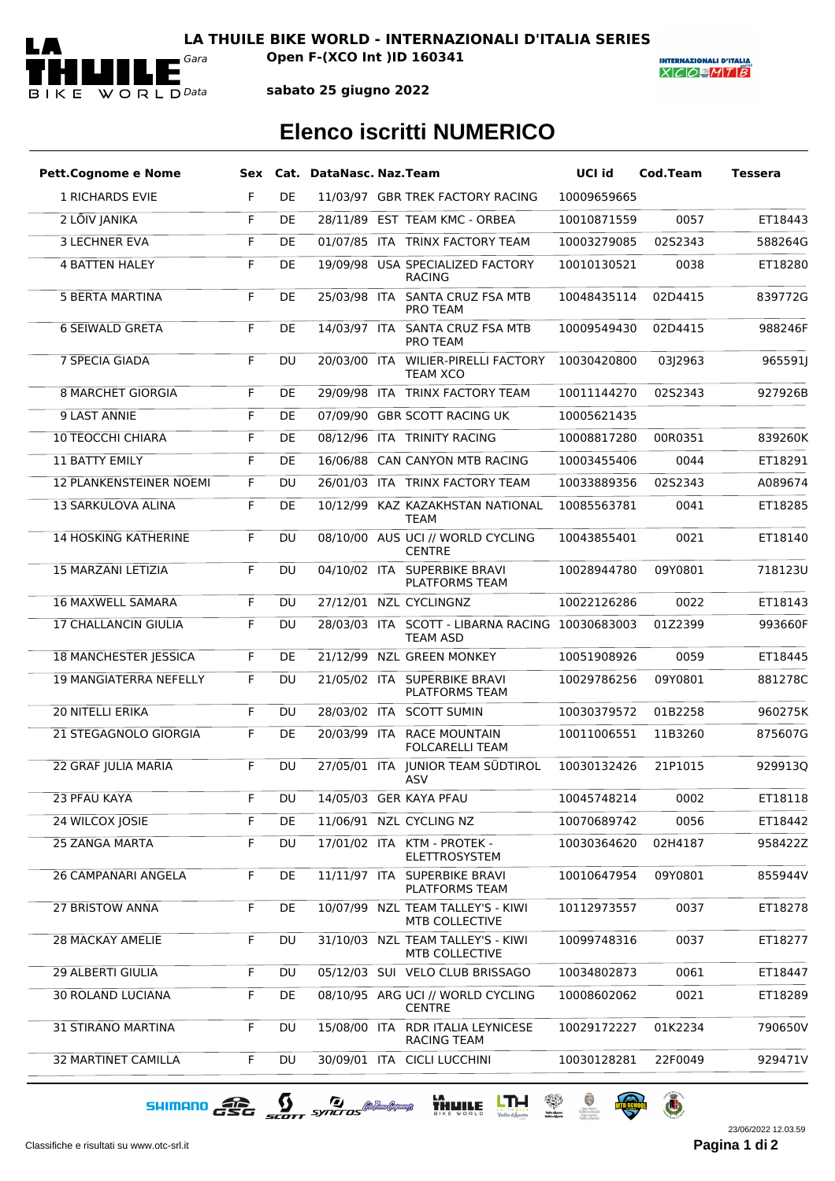

*Gara* **Open F-(XCO Int )ID 160341**

**INTERNAZIONALI D'ITALIA**  $X|C|O=M|T|B$ 

**sabato 25 giugno 2022**

## **Elenco iscritti NUMERICO**

| <b>Pett.Cognome e Nome</b>     |    |           | Sex Cat. DataNasc. Naz. Team |                                                                    | UCI id      | Cod.Team | Tessera |
|--------------------------------|----|-----------|------------------------------|--------------------------------------------------------------------|-------------|----------|---------|
| <b>1 RICHARDS EVIE</b>         | F  | DE        |                              | 11/03/97 GBR TREK FACTORY RACING                                   | 10009659665 |          |         |
| 2 LÕIV JANIKA                  | F  | DE        |                              | 28/11/89 EST TEAM KMC - ORBEA                                      | 10010871559 | 0057     | ET18443 |
| <b>3 LECHNER EVA</b>           | F  | DE        |                              | 01/07/85 ITA TRINX FACTORY TEAM                                    | 10003279085 | 02S2343  | 588264G |
| <b>4 BATTEN HALEY</b>          | F  | DE        |                              | 19/09/98 USA SPECIALIZED FACTORY<br><b>RACING</b>                  | 10010130521 | 0038     | ET18280 |
| <b>5 BERTA MARTINA</b>         | F  | DE        |                              | 25/03/98 ITA SANTA CRUZ FSA MTB<br><b>PRO TEAM</b>                 | 10048435114 | 02D4415  | 839772G |
| <b>6 SEIWALD GRETA</b>         | F  | DE        |                              | 14/03/97 ITA SANTA CRUZ FSA MTB<br>PRO TEAM                        | 10009549430 | 02D4415  | 988246F |
| 7 SPECIA GIADA                 | F  | DU        |                              | 20/03/00 ITA WILIER-PIRELLI FACTORY<br><b>TEAM XCO</b>             | 10030420800 | 03J2963  | 965591  |
| <b>8 MARCHET GIORGIA</b>       | F  | DE        |                              | 29/09/98 ITA TRINX FACTORY TEAM                                    | 10011144270 | 02S2343  | 927926B |
| 9 LAST ANNIE                   | F  | DE        |                              | 07/09/90 GBR SCOTT RACING UK                                       | 10005621435 |          |         |
| <b>10 TEOCCHI CHIARA</b>       | F  | DE        |                              | 08/12/96 ITA TRINITY RACING                                        | 10008817280 | 00R0351  | 839260K |
| <b>11 BATTY EMILY</b>          | F  | DE        |                              | 16/06/88 CAN CANYON MTB RACING                                     | 10003455406 | 0044     | ET18291 |
| <b>12 PLANKENSTEINER NOEMI</b> | F  | DU        |                              | 26/01/03 ITA TRINX FACTORY TEAM                                    | 10033889356 | 02S2343  | A089674 |
| 13 SARKULOVA ALINA             | F  | DE        |                              | 10/12/99 KAZ KAZAKHSTAN NATIONAL<br><b>TEAM</b>                    | 10085563781 | 0041     | ET18285 |
| <b>14 HOSKING KATHERINE</b>    | F  | DU        |                              | 08/10/00 AUS UCI // WORLD CYCLING<br><b>CENTRE</b>                 | 10043855401 | 0021     | ET18140 |
| <b>15 MARZANI LETIZIA</b>      | F  | <b>DU</b> |                              | 04/10/02 ITA SUPERBIKE BRAVI<br><b>PLATFORMS TEAM</b>              | 10028944780 | 09Y0801  | 718123U |
| <b>16 MAXWELL SAMARA</b>       | F  | <b>DU</b> |                              | 27/12/01 NZL CYCLINGNZ                                             | 10022126286 | 0022     | ET18143 |
| <b>17 CHALLANCIN GIULIA</b>    | F  | DU        |                              | 28/03/03 ITA SCOTT - LIBARNA RACING 10030683003<br><b>TEAM ASD</b> |             | 01Z2399  | 993660F |
| <b>18 MANCHESTER JESSICA</b>   | F. | DE        |                              | 21/12/99 NZL GREEN MONKEY                                          | 10051908926 | 0059     | ET18445 |
| <b>19 MANGIATERRA NEFELLY</b>  | F  | <b>DU</b> |                              | 21/05/02 ITA SUPERBIKE BRAVI<br><b>PLATFORMS TEAM</b>              | 10029786256 | 09Y0801  | 881278C |
| 20 NITELLI ERIKA               | F  | <b>DU</b> |                              | 28/03/02 ITA SCOTT SUMIN                                           | 10030379572 | 01B2258  | 960275K |
| <b>21 STEGAGNOLO GIORGIA</b>   | F  | DE        |                              | 20/03/99 ITA RACE MOUNTAIN<br><b>FOLCARELLI TEAM</b>               | 10011006551 | 11B3260  | 875607G |
| 22 GRAF JULIA MARIA            | F  | DU        |                              | 27/05/01 ITA JUNIOR TEAM SÜDTIROL<br>ASV                           | 10030132426 | 21P1015  | 929913Q |
| 23 PFAU KAYA                   | F. | DU        |                              | 14/05/03 GER KAYA PFAU                                             | 10045748214 | 0002     | ET18118 |
| 24 WILCOX JOSIE                | F  | DE        |                              | 11/06/91 NZL CYCLING NZ                                            | 10070689742 | 0056     | ET18442 |
| <b>25 ZANGA MARTA</b>          | F  | DU        |                              | 17/01/02 ITA KTM - PROTEK -<br><b>ELETTROSYSTEM</b>                | 10030364620 | 02H4187  | 958422Z |
| <b>26 CAMPANARI ANGELA</b>     | F  | DE        |                              | 11/11/97 ITA SUPERBIKE BRAVI<br>PLATFORMS TEAM                     | 10010647954 | 09Y0801  | 855944V |
| <b>27 BRISTOW ANNA</b>         | F  | DE        |                              | 10/07/99 NZL TEAM TALLEY'S - KIWI<br>MTB COLLECTIVE                | 10112973557 | 0037     | ET18278 |
| <b>28 MACKAY AMELIE</b>        | F  | <b>DU</b> |                              | 31/10/03 NZL TEAM TALLEY'S - KIWI<br><b>MTB COLLECTIVE</b>         | 10099748316 | 0037     | ET18277 |
| 29 ALBERTI GIULIA              | F  | DU        |                              | 05/12/03 SUI VELO CLUB BRISSAGO                                    | 10034802873 | 0061     | ET18447 |
| <b>30 ROLAND LUCIANA</b>       | F  | DE        |                              | 08/10/95 ARG UCI // WORLD CYCLING<br><b>CENTRE</b>                 | 10008602062 | 0021     | ET18289 |
| <b>31 STIRANO MARTINA</b>      | F  | <b>DU</b> |                              | 15/08/00 ITA RDR ITALIA LEYNICESE<br><b>RACING TEAM</b>            | 10029172227 | 01K2234  | 790650V |
| <b>32 MARTINET CAMILLA</b>     | F  | DU        |                              | 30/09/01 ITA CICLI LUCCHINI                                        | 10030128281 | 22F0049  | 929471V |

SHIMANO GSG SCOTT SYNCTOS @ MARIAM THE UTH REAL PROPERTY

Classifiche e risultati su www.otc-srl.it **Pagina 1 di**